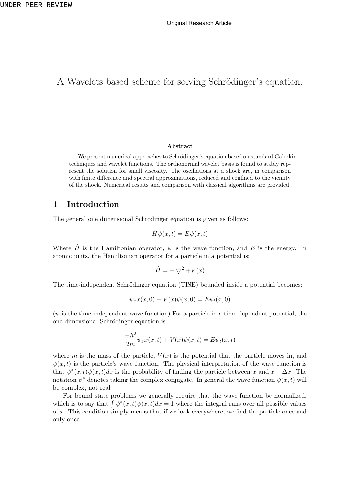# A Wavelets based scheme for solving Schrödinger's equation.

#### **Abstract**

We present numerical approaches to Schrödinger's equation based on standard Galerkin techniques and wavelet functions. The orthonormal wavelet basis is found to stably represent the solution for small viscosity. The oscillations at a shock are, in comparison with finite difference and spectral approximations, reduced and confined to the vicinity of the shock. Numerical results and comparison with classical algorithms are provided.

### **1 Introduction**

The general one dimensional Schrödinger equation is given as follows:

$$
\hat{H}\psi(x,t) = E\psi(x,t)
$$

Where  $\hat{H}$  is the Hamiltonian operator,  $\psi$  is the wave function, and E is the energy. In atomic units, the Hamiltonian operator for a particle in a potential is:

$$
\hat{H} = -\nabla^2 + V(x)
$$

The time-independent Schrödinger equation (TISE) bounded inside a potential becomes:

$$
\psi_x x(x,0) + V(x)\psi(x,0) = E\psi_t(x,0)
$$

 $(\psi)$  is the time-independent wave function) For a particle in a time-dependent potential, the one-dimensional Schrödinger equation is

$$
\frac{-h^2}{2m}\psi_x x(x,t) + V(x)\psi(x,t) = E\psi_t(x,t)
$$

where *m* is the mass of the particle,  $V(x)$  is the potential that the particle moves in, and  $\psi(x, t)$  is the particle's wave function. The physical interpretation of the wave function is that  $\psi^*(x,t)\psi(x,t)dx$  is the probability of finding the particle between *x* and  $x + \Delta x$ . The notation  $\psi^*$  denotes taking the complex conjugate. In general the wave function  $\psi(x, t)$  will be complex, not real.

For bound state problems we generally require that the wave function be normalized, which is to say that  $\int \psi^*(x,t)\psi(x,t)dx = 1$  where the integral runs over all possible values of *x*. This condition simply means that if we look everywhere, we find the particle once and only once.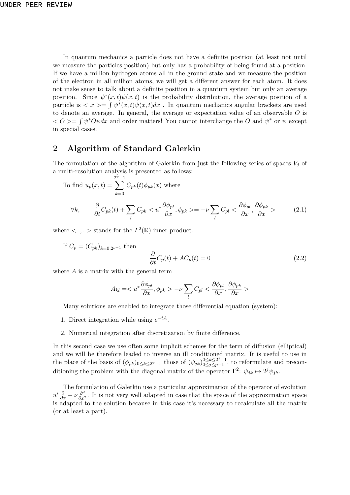In quantum mechanics a particle does not have a definite position (at least not until we measure the particles position) but only has a probability of being found at a position. If we have a million hydrogen atoms all in the ground state and we measure the position of the electron in all million atoms, we will get a different answer for each atom. It does not make sense to talk about a definite position in a quantum system but only an average position. Since  $\psi^*(x,t)\psi(x,t)$  is the probability distribution, the average position of a particle is  $\langle x \rangle = \int \psi^*(x,t) \psi(x,t) dx$ . In quantum mechanics angular brackets are used to denote an average. In general, the average or expectation value of an observable *O* is  $Q \leq 0$  is a positive of the *O* and *w*<sup>\*</sup> or *ψ* except in special cases.

# **2 Algorithm of Standard Galerkin**

The formulation of the algorithm of Galerkin from just the following series of spaces  $V_j$  of a multi-resolution analysis is presented as follows:

To find 
$$
u_p(x, t) = \sum_{k=0}^{2^p-1} C_{pk}(t) \phi_{pk}(x)
$$
 where  
\n
$$
\forall k, \qquad \frac{\partial}{\partial t} C_{pk}(t) + \sum_l C_{pk} < u^* \frac{\partial \phi_{pl}}{\partial x}, \phi_{pk} > = -\nu \sum_l C_{pl} < \frac{\partial \phi_{pl}}{\partial x}, \frac{\partial \phi_{pk}}{\partial x} > \tag{2.1}
$$

where  $\langle \cdot, \cdot \rangle$  stands for the  $L^2(\mathbb{R})$  inner product.

If 
$$
C_p = (C_{pk})_{k=0,2^{p-1}}
$$
 then  
\n
$$
\frac{\partial}{\partial t}C_p(t) + AC_p(t) = 0
$$
\n(2.2)

where *A* is a matrix with the general term

$$
A_{kl} = \langle u^* \frac{\partial \phi_{pl}}{\partial x}, \phi_{pk} \rangle - \nu \sum_l C_{pl} < \frac{\partial \phi_{pl}}{\partial x}, \frac{\partial \phi_{pk}}{\partial x} \rangle
$$

Many solutions are enabled to integrate those differential equation (system):

- 1. Direct integration while using  $e^{-tA}$ .
- 2. Numerical integration after discretization by finite difference.

In this second case we use often some implicit schemes for the term of diffusion (elliptical) and we will be therefore leaded to inverse an ill conditioned matrix. It is useful to use in the place of the basis of  $(\phi_{pk})_{0 \le k \le 2^p - 1}$  those of  $(\psi_{jk})_{0 \le j \le p-1}^{0 \le k \le 2^j - 1}$ 0*≤j≤p−*1 , to reformulate and preconditioning the problem with the diagonal matrix of the operator  $\Gamma^2$ :  $\psi_{jk} \mapsto 2^j \psi_{jk}$ .

The formulation of Galerkin use a particular approximation of the operator of evolution  $u^*\frac{\partial}{\partial x} - \nu \frac{\partial^2}{\partial x^2}$ . It is not very well adapted in case that the space of the approximation space is adapted to the solution because in this case it's necessary to recalculate all the matrix (or at least a part).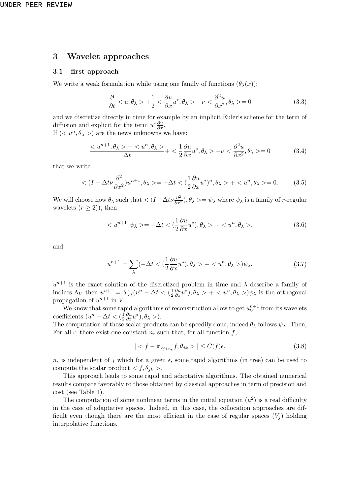## **3 Wavelet approaches**

#### **3.1 first approach**

We write a weak formulation while using one family of functions  $(\theta_{\lambda}(x))$ :

$$
\frac{\partial}{\partial t} < u, \theta_{\lambda} > +\frac{1}{2} < \frac{\partial u}{\partial x} u^*, \theta_{\lambda} > -\nu < \frac{\partial^2 u}{\partial x^2}, \theta_{\lambda} > = 0 \tag{3.3}
$$

and we discretize directly in time for example by an implicit Euler's scheme for the term of diffusion and explicit for the term  $u^*\frac{\partial u}{\partial x}$ .

If  $( $u^n, \theta_\lambda>$ ) are the news unknowns we have:$ 

$$
\frac{-}{\Delta t}+<\frac{1}{2}\frac{\partial u}{\partial x}u^*, \theta_{\lambda}>-\nu<\frac{\partial^2 u}{\partial x^2}, \theta_{\lambda}>=0
$$
\n(3.4)

that we write

$$
\langle (I - \Delta t \nu \frac{\partial^2}{\partial x^2}) u^{n+1}, \theta_\lambda \rangle = -\Delta t \langle (\frac{1}{2} \frac{\partial u}{\partial x} u^*)^n, \theta_\lambda \rangle + \langle u^n, \theta_\lambda \rangle = 0. \tag{3.5}
$$

We will choose now  $\theta_{\lambda}$  such that  $\langle (I - \Delta t \nu \frac{\partial^2}{\partial x^2}), \theta_{\lambda} \rangle = \psi_{\lambda}$  where  $\psi_{\lambda}$  is a family of *r*-regular wavelets  $(r \geq 2)$ , then

$$
\langle u^{n+1}, \psi_{\lambda} \rangle = -\Delta t \langle \frac{1}{2} \frac{\partial u}{\partial x} u^* \rangle, \theta_{\lambda} \rangle + \langle u^n, \theta_{\lambda} \rangle, \tag{3.6}
$$

and

$$
u^{n+1} = \sum_{\lambda} (-\Delta t < \left(\frac{1}{2}\frac{\partial u}{\partial x}u^*\right), \theta_{\lambda} > + < u^n, \theta_{\lambda} >)\psi_{\lambda}.\tag{3.7}
$$

 $u^{n+1}$  is the exact solution of the discretized problem in time and  $\lambda$  describe a family of indices  $\Lambda_V$  then  $u^{n+1} = \sum_{\lambda} (u^n - \Delta t < (\frac{1}{2})$ 2  $\frac{\partial u}{\partial x}u^*$ ,  $\theta_{\lambda} > + < u^n, \theta_{\lambda} >$ ) $\psi_{\lambda}$  is the orthogonal propagation of  $u^{n+1}$  in *V*.

We know that some rapid algorithms of reconstruction allow to get  $u_V^{n+1}$  $v^{n+1}$  from its wavelets coefficients  $(u^n - \Delta t < (\frac{1}{2}))$ 2  $\frac{\partial u}{\partial x}u^*$ ,  $\theta_\lambda$  >).

The computation of these scalar products can be speedily done, indeed  $\theta_{\lambda}$  follows  $\psi_{\lambda}$ . Then, For all  $\epsilon$ , there exist one constant  $n_{\epsilon}$  such that, for all function  $f$ ,

$$
|< f - \pi_{V_{j+n_{\epsilon}}} f, \theta_{jk} >| \le C(f)\epsilon. \tag{3.8}
$$

 $n_{\epsilon}$  is independent of *j* which for a given  $\epsilon$ , some rapid algorithms (in tree) can be used to compute the scalar product  $\langle f, \theta_{jk} \rangle$ .

This approach leads to some rapid and adaptative algorithms. The obtained numerical results compare favorably to those obtained by classical approaches in term of precision and cost (see Table 1).

The computation of some nonlinear terms in the initial equation  $(u^2)$  is a real difficulty in the case of adaptative spaces. Indeed, in this case, the collocation approaches are difficult even though there are the most efficient in the case of regular spaces  $(V_i)$  holding interpolative functions.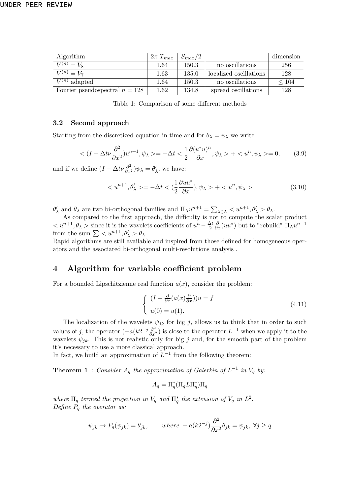| Algorithm                        | $2\pi T_{max}$ | $S_{max}/2$ |                        | dimension  |
|----------------------------------|----------------|-------------|------------------------|------------|
| $V^{(n)} = V_8$                  | 1.64           | 150.3       | no oscillations        | 256        |
| $V^{(n)} = V_7$                  | 1.63           | 135.0       | localized oscillations | 128        |
| $V^{(n)}$ adapted                | 1.64           | 150.3       | no oscillations        | $\leq 104$ |
| Fourier pseudospectral $n = 128$ | 1.62           | 134.8       | spread oscillations    | 128        |

Table 1: Comparison of some different methods

#### **3.2 Second approach**

Starting from the discretized equation in time and for  $\theta_{\lambda} = \psi_{\lambda}$  we write

$$
\langle (I - \Delta t \nu \frac{\partial^2}{\partial x^2}) u^{n+1}, \psi_\lambda \rangle = -\Delta t \langle \frac{1}{2} \frac{\partial (u^* u)^n}{\partial x}, \psi_\lambda \rangle + \langle u^n, \psi_\lambda \rangle = 0, \quad (3.9)
$$

and if we define  $(I - \Delta t \nu \frac{\partial^2}{\partial x^2}) \psi_\lambda = \theta'_\lambda$ , we have:

$$
\langle u^{n+1}, \theta'_{\lambda} \rangle = -\Delta t \langle \frac{1}{2} \frac{\partial u u^*}{\partial x}, \psi_{\lambda} \rangle + \langle u^n, \psi_{\lambda} \rangle \tag{3.10}
$$

 $\theta'_{\lambda}$  and  $\theta_{\lambda}$  are two bi-orthogonal families and  $\Pi_{\Lambda} u^{n+1} = \sum_{\lambda \in \Lambda} \langle u^{n+1}, \theta'_{\lambda} \rangle \theta_{\lambda}$ .

As compared to the first approach, the difficulty is not to compute the scalar product  $\langle u^{n+1}, \theta_\lambda \rangle$  since it is the wavelets coefficients of  $u^n - \frac{\Delta t}{2}$ 2  $\frac{\partial}{\partial x}(uu^*)$  but to "rebuild"  $\Pi_{\Lambda}u^{n+1}$ from the sum  $\sum \langle u^{n+1}, \theta'_{\lambda} \rangle \theta_{\lambda}$ .

Rapid algorithms are still available and inspired from those defined for homogeneous operators and the associated bi-orthogonal multi-resolutions analysis .

### **4 Algorithm for variable coefficient problem**

For a bounded Lipschitzienne real function  $a(x)$ , consider the problem:

$$
\begin{cases}\n(I - \frac{\partial}{\partial x}(a(x)\frac{\partial}{\partial x}))u = f \\
u(0) = u(1).\n\end{cases}
$$
\n(4.11)

The localization of the wavelets  $\psi_{jk}$  for big *j*, allows us to think that in order to such values of *j*, the operator  $(-a(k2^{-j}\frac{\partial^2}{\partial x^2})$  is close to the operator  $L^{-1}$  when we apply it to the wavelets  $\psi_{jk}$ . This is not realistic only for big *j* and, for the smooth part of the problem it's necessary to use a more classical approach.

In fact, we build an approximation of  $L^{-1}$  from the following theorem:

**Theorem 1** *: Consider*  $A_q$  *the approximation of Galerkin of*  $L^{-1}$  *in*  $V_q$  *by:* 

$$
A_q = \Pi_q^* (\Pi_q L \Pi_q^*) \Pi_q
$$

*where*  $\Pi_q$  *termed the projection in*  $V_q$  *and*  $\Pi_q^*$  *the extension of*  $V_q$  *in*  $L^2$ *. Define P<sup>q</sup> the operator as:*

$$
\psi_{jk} \mapsto P_q(\psi_{jk}) = \theta_{jk}, \quad where \quad -a(k2^{-j})\frac{\partial^2}{\partial x^2}\theta_{jk} = \psi_{jk}, \ \forall j \ge q
$$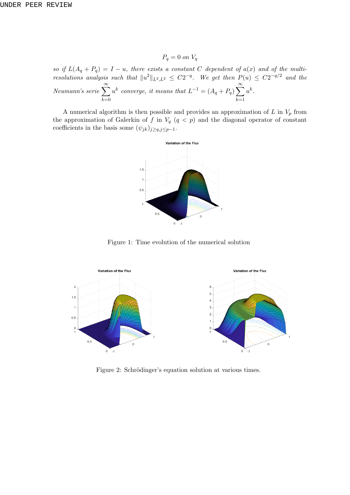$P_q = 0$  *on*  $V_q$ 

*so if*  $L(A_q + P_q) = I - u$ , there exists a constant *C* dependent of  $a(x)$  and of the multi*resolutions analysis such that*  $||u^2||_{L^2,L^2} \leq C2^{-q}$ . We get then  $P(u) \leq C2^{-q/2}$  and the *Neumann's serie* <sup>∑</sup>*<sup>∞</sup> k*=0  $u^k$  converge, it means that  $L^{-1} = (A_q + P_q) \sum_{k=1}^{\infty}$ *k*=1  $u^k$ .

A numerical algorithm is then possible and provides an approximation of  $L$  in  $V_p$  from the approximation of Galerkin of  $f$  in  $V_q$  ( $q < p$ ) and the diagonal operator of constant coefficients in the basis some  $(\psi_{jk})_{j\geq q, j\leq p-1}$ .



Figure 1: Time evolution of the numerical solution



Figure 2: Schrödinger's equation solution at various times.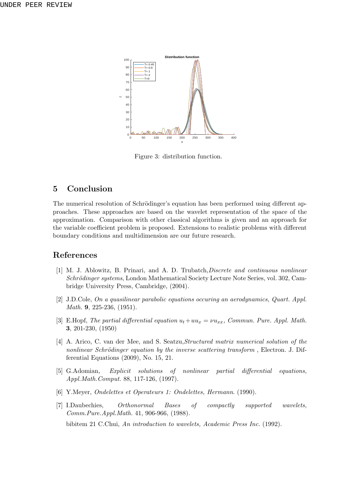

Figure 3: distribution function.

# **5 Conclusion**

The numerical resolution of Schrödinger's equation has been performed using different approaches. These approaches are based on the wavelet representation of the space of the approximation. Comparison with other classical algorithms is given and an approach for the variable coefficient problem is proposed. Extensions to realistic problems with different boundary conditions and multidimension are our future research.

### **References**

- [1] M. J. Ablowitz, B. Prinari, and A. D. Trubatch,*Discrete and continuous nonlinear Schrödinger systems*, London Mathematical Society Lecture Note Series, vol. 302, Cambridge University Press, Cambridge, (2004).
- [2] J.D.Cole, *On a quasilinear parabolic equations occuring an aerodynamics, Quart. Appl. Math.* **9**, 225-236, (1951).
- [3] E.Hopf, *The partial differential equation*  $u_t + uu_x = \nu u_{xx}$ , *Commun. Pure. Appl. Math.* **3**, 201-230, (1950)
- [4] A. Arico, C. van der Mee, and S. Seatzu,*Structured matrix numerical solution of the nonlinear Schrödinger equation by the inverse scattering transform*, Electron. J. Differential Equations (2009), No. 15, 21.
- [5] G.Adomian, *Explicit solutions of nonlinear partial differential equations, Appl.Math.Comput.* 88, 117-126, (1997).
- [6] Y.Meyer, *Ondelettes et Operateurs 1: Ondelettes, Hermann*. (1990).
- [7] I.Daubechies, *Orthonormal Bases of compactly supported wavelets, Comm.Pure.Appl.Math.* 41, 906-966, (1988).

bibitem 21 C.Chui, *An introduction to wavelets, Academic Press Inc.* (1992).